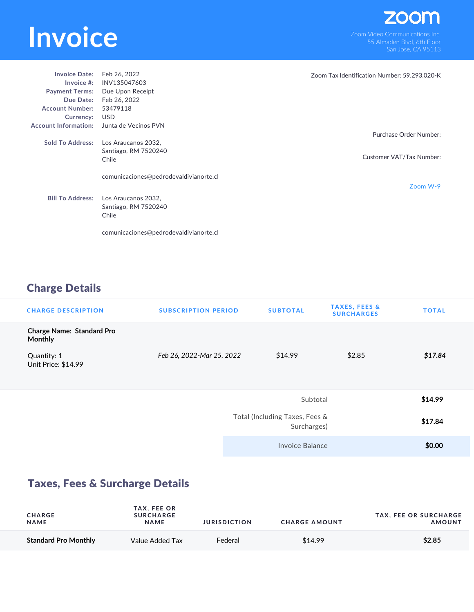## **INVOICE**<br>
Som Video Communications Inc.<br>
San Jose CA 95113

| <b>Invoice Date:</b>        | Feb 26, 2022                           | Zoom Tax Identification Number: 59.293.020-K |
|-----------------------------|----------------------------------------|----------------------------------------------|
| Invoice $#$ :               | INV135047603                           |                                              |
| <b>Payment Terms:</b>       | Due Upon Receipt                       |                                              |
| Due Date:                   | Feb 26, 2022                           |                                              |
| <b>Account Number:</b>      | 53479118                               |                                              |
| Currency:                   | USD                                    |                                              |
| <b>Account Information:</b> | Junta de Vecinos PVN                   |                                              |
|                             |                                        | Purchase Order Number:                       |
| <b>Sold To Address:</b>     | Los Araucanos 2032,                    |                                              |
|                             | Santiago, RM 7520240                   |                                              |
|                             | Chile                                  | Customer VAT/Tax Number:                     |
|                             |                                        |                                              |
|                             | comunicaciones@pedrodevaldivianorte.cl |                                              |
|                             |                                        | Zoom W-9                                     |
| <b>Bill To Address:</b>     |                                        |                                              |
|                             | Los Araucanos 2032,                    |                                              |
|                             | Santiago, RM 7520240                   |                                              |
|                             | Chile                                  |                                              |
|                             |                                        |                                              |
|                             | comunicaciones@pedrodevaldivianorte.cl |                                              |

## Charge Details

| <b>CHARGE DESCRIPTION</b>                          | <b>SUBSCRIPTION PERIOD</b> | <b>SUBTOTAL</b>                               | <b>TAXES, FEES &amp;</b><br><b>SURCHARGES</b> | <b>TOTAL</b> |
|----------------------------------------------------|----------------------------|-----------------------------------------------|-----------------------------------------------|--------------|
| <b>Charge Name: Standard Pro</b><br><b>Monthly</b> |                            |                                               |                                               |              |
| Quantity: 1<br>Unit Price: \$14.99                 | Feb 26, 2022-Mar 25, 2022  | \$14.99                                       | \$2.85                                        | \$17.84      |
|                                                    |                            | Subtotal                                      |                                               | \$14.99      |
|                                                    |                            | Total (Including Taxes, Fees &<br>Surcharges) |                                               | \$17.84      |
|                                                    |                            | Invoice Balance                               |                                               | \$0.00       |

## Taxes, Fees & Surcharge Details

| <b>CHARGE</b><br><b>NAME</b> | <b>TAX, FEE OR</b><br><b>SURCHARGE</b><br><b>NAME</b> | <b>JURISDICTION</b> | <b>CHARGE AMOUNT</b> | <b>TAX, FEE OR SURCHARGE</b><br><b>AMOUNT</b> |
|------------------------------|-------------------------------------------------------|---------------------|----------------------|-----------------------------------------------|
| <b>Standard Pro Monthly</b>  | Value Added Tax                                       | Federal             | \$14.99              | \$2.85                                        |